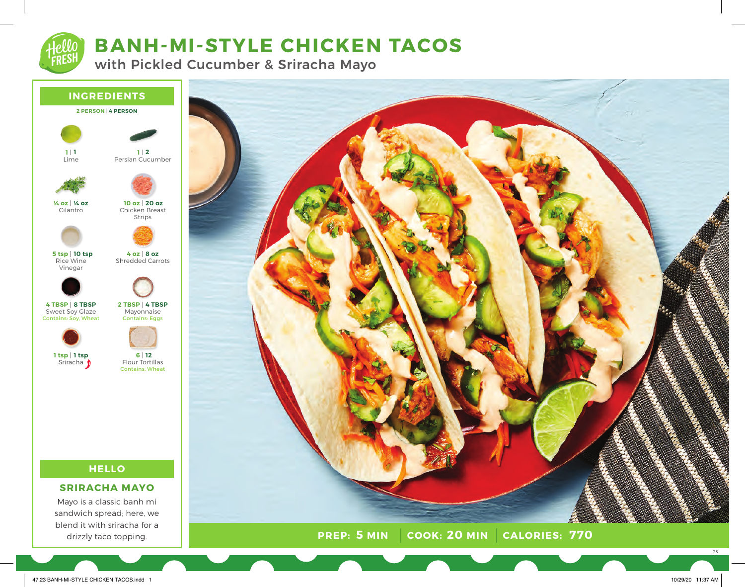

# **BANH-MI-STYLE CHICKEN TACOS**

with Pickled Cucumber & Sriracha Mayo



**PREP: COOK: CALORIES: 5 MIN 20 MIN 770**

47.23 BANH-MI-STYLE CHICKEN TACOS.indd 1 10/29/20 11:37 AM

drizzly taco topping.

23